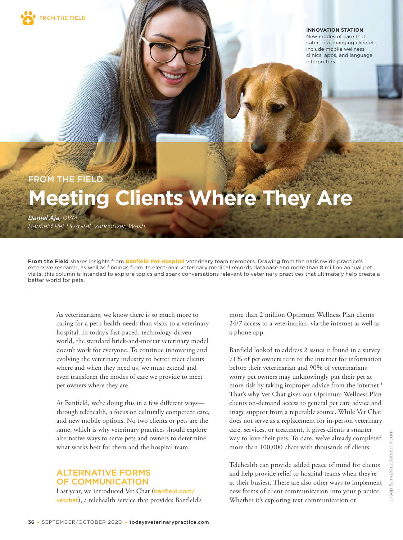

**INNOVATION STATION**

New modes of care that cater to a changing clientele include mobile wellness clinics, apps, and language interpreters.

## FROM THE FIELD

# **Meeting Clients Where They Are**

*Daniel Aja, DVM Banfield Pet Hospital, Vancouver, Wash.*

**From the Field** shares insights from **Banfield Pet Hospital** veterinary team members. Drawing from the nationwide practice's extensive research, as well as findings from its electronic veterinary medical records database and more than 8 million annual pet visits, this column is intended to explore topics and spark conversations relevant to veterinary practices that ultimately help create a better world for pets.

As veterinarians, we know there is so much more to caring for a pet's health needs than visits to a veterinary hospital. In today's fast-paced, technology-driven world, the standard brick-and-mortar veterinary model doesn't work for everyone. To continue innovating and evolving the veterinary industry to better meet clients where and when they need us, we must extend and even transform the modes of care we provide to meet pet owners where they are.

At Banfield, we're doing this in a few different ways through telehealth, a focus on culturally competent care, and new mobile options. No two clients or pets are the same, which is why veterinary practices should explore alternative ways to serve pets and owners to determine what works best for them and the hospital team.

## ALTERNATIVE FORMS OF COMMUNICATION

Last year, we introduced Vet Chat (banfield.com/ vetchat), a telehealth service that provides Banfield's more than 2 million Optimum Wellness Plan clients 24/7 access to a veterinarian, via the internet as well as a phone app.

Banfield looked to address 2 issues it found in a survey: 71% of pet owners turn to the internet for information before their veterinarian and 90% of veterinarians worry pet owners may unknowingly put their pet at more risk by taking improper advice from the internet.<sup>1</sup> That's why Vet Chat gives our Optimum Wellness Plan clients on-demand access to general pet care advice and triage support from a reputable source. While Vet Chat does not serve as a replacement for in-person veterinary care, services, or treatment, it gives clients a smarter way to love their pets. To date, we've already completed more than 100,000 chats with thousands of clients.

Telehealth can provide added peace of mind for clients and help provide relief to hospital teams when they're at their busiest. There are also other ways to implement new forms of client communication into your practice. Whether it's exploring text communication or